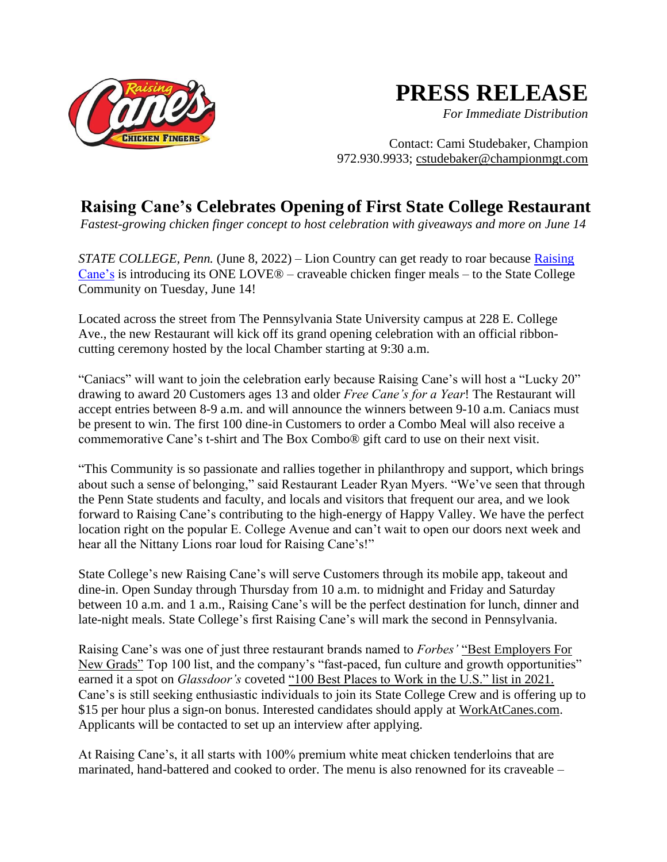

## **PRESS RELEASE**

*For Immediate Distribution*

Contact: Cami Studebaker, Champion 972.930.9933; cstudebaker@championmgt.com

## **Raising Cane's Celebrates Opening of First State College Restaurant**

*Fastest-growing chicken finger concept to host celebration with giveaways and more on June 14*

*STATE COLLEGE, Penn.* (June 8, 2022) – Lion Country can get ready to roar because Raising Cane's is introducing its ONE LOVE® – craveable chicken finger meals – to the State College Community on Tuesday, June 14!

Located across the street from The Pennsylvania State University campus at 228 E. College Ave., the new Restaurant will kick off its grand opening celebration with an official ribboncutting ceremony hosted by the local Chamber starting at 9:30 a.m.

"Caniacs" will want to join the celebration early because Raising Cane's will host a "Lucky 20" drawing to award 20 Customers ages 13 and older *Free Cane's for a Year*! The Restaurant will accept entries between 8-9 a.m. and will announce the winners between 9-10 a.m. Caniacs must be present to win. The first 100 dine-in Customers to order a Combo Meal will also receive a commemorative Cane's t-shirt and The Box Combo® gift card to use on their next visit.

"This Community is so passionate and rallies together in philanthropy and support, which brings about such a sense of belonging," said Restaurant Leader Ryan Myers. "We've seen that through the Penn State students and faculty, and locals and visitors that frequent our area, and we look forward to Raising Cane's contributing to the high-energy of Happy Valley. We have the perfect location right on the popular E. College Avenue and can't wait to open our doors next week and hear all the Nittany Lions roar loud for Raising Cane's!"

State College's new Raising Cane's will serve Customers through its mobile app, takeout and dine-in. Open Sunday through Thursday from 10 a.m. to midnight and Friday and Saturday between 10 a.m. and 1 a.m., Raising Cane's will be the perfect destination for lunch, dinner and late-night meals. State College's first Raising Cane's will mark the second in Pennsylvania.

Raising Cane's was one of just three restaurant brands named to *Forbes'* "Best Employers For New Grads" Top 100 list, and the company's "fast-paced, fun culture and growth opportunities" earned it a spot on *Glassdoor's* coveted "100 Best Places to Work in the U.S." list in 2021. Cane's is still seeking enthusiastic individuals to join its State College Crew and is offering up to \$15 per hour plus a sign-on bonus. Interested candidates should apply at WorkAtCanes.com. Applicants will be contacted to set up an interview after applying.

At Raising Cane's, it all starts with 100% premium white meat chicken tenderloins that are marinated, hand-battered and cooked to order. The menu is also renowned for its craveable –